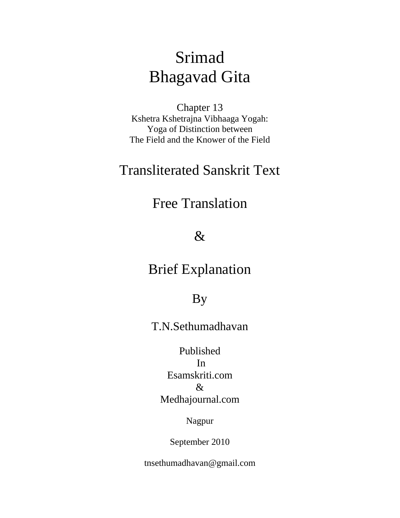# Srimad Bhagavad Gita

Chapter 13 Kshetra Kshetrajna Vibhaaga Yogah: Yoga of Distinction between The Field and the Knower of the Field

## Transliterated Sanskrit Text

## Free Translation

## $\&$

## Brief Explanation

## By

## T.N.Sethumadhavan

## Published In Esamskriti.com & Medhajournal.com

## Nagpur

## September 2010

tnsethumadhavan@gmail.com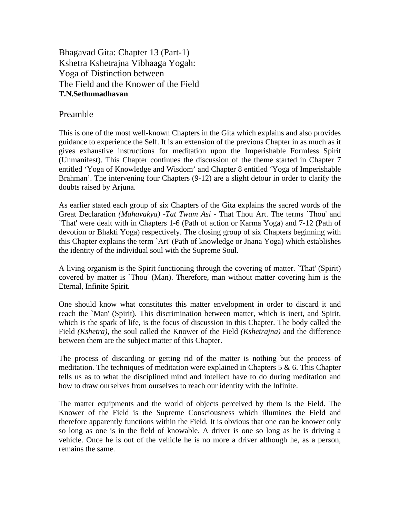Bhagavad Gita: Chapter 13 (Part-1) Kshetra Kshetrajna Vibhaaga Yogah: Yoga of Distinction between The Field and the Knower of the Field **T.N.Sethumadhavan** 

## Preamble

This is one of the most well-known Chapters in the Gita which explains and also provides guidance to experience the Self. It is an extension of the previous Chapter in as much as it gives exhaustive instructions for meditation upon the Imperishable Formless Spirit (Unmanifest). This Chapter continues the discussion of the theme started in Chapter 7 entitled 'Yoga of Knowledge and Wisdom' and Chapter 8 entitled 'Yoga of Imperishable Brahman'. The intervening four Chapters (9-12) are a slight detour in order to clarify the doubts raised by Arjuna.

As earlier stated each group of six Chapters of the Gita explains the sacred words of the Great Declaration *(Mahavakya) -Tat Twam Asi* - That Thou Art. The terms `Thou' and `That' were dealt with in Chapters 1-6 (Path of action or Karma Yoga) and 7-12 (Path of devotion or Bhakti Yoga) respectively. The closing group of six Chapters beginning with this Chapter explains the term `Art' (Path of knowledge or Jnana Yoga) which establishes the identity of the individual soul with the Supreme Soul.

A living organism is the Spirit functioning through the covering of matter. `That' (Spirit) covered by matter is `Thou' (Man). Therefore, man without matter covering him is the Eternal, Infinite Spirit.

One should know what constitutes this matter envelopment in order to discard it and reach the `Man' (Spirit). This discrimination between matter, which is inert, and Spirit, which is the spark of life, is the focus of discussion in this Chapter. The body called the Field *(Kshetra),* the soul called the Knower of the Field *(Kshetrajna)* and the difference between them are the subject matter of this Chapter.

The process of discarding or getting rid of the matter is nothing but the process of meditation. The techniques of meditation were explained in Chapters 5 & 6. This Chapter tells us as to what the disciplined mind and intellect have to do during meditation and how to draw ourselves from ourselves to reach our identity with the Infinite.

The matter equipments and the world of objects perceived by them is the Field. The Knower of the Field is the Supreme Consciousness which illumines the Field and therefore apparently functions within the Field. It is obvious that one can be knower only so long as one is in the field of knowable. A driver is one so long as he is driving a vehicle. Once he is out of the vehicle he is no more a driver although he, as a person, remains the same.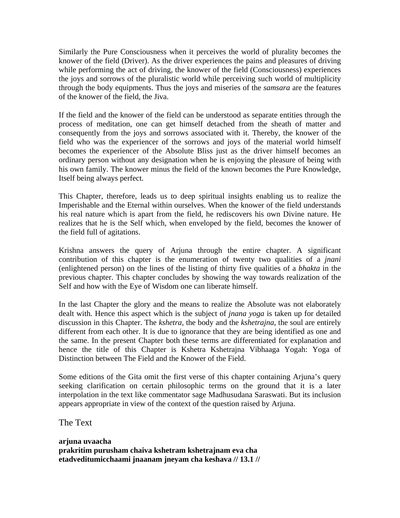Similarly the Pure Consciousness when it perceives the world of plurality becomes the knower of the field (Driver). As the driver experiences the pains and pleasures of driving while performing the act of driving, the knower of the field (Consciousness) experiences the joys and sorrows of the pluralistic world while perceiving such world of multiplicity through the body equipments. Thus the joys and miseries of the *samsara* are the features of the knower of the field, the Jiva.

If the field and the knower of the field can be understood as separate entities through the process of meditation, one can get himself detached from the sheath of matter and consequently from the joys and sorrows associated with it. Thereby, the knower of the field who was the experiencer of the sorrows and joys of the material world himself becomes the experiencer of the Absolute Bliss just as the driver himself becomes an ordinary person without any designation when he is enjoying the pleasure of being with his own family. The knower minus the field of the known becomes the Pure Knowledge, Itself being always perfect.

This Chapter, therefore, leads us to deep spiritual insights enabling us to realize the Imperishable and the Eternal within ourselves. When the knower of the field understands his real nature which is apart from the field, he rediscovers his own Divine nature. He realizes that he is the Self which, when enveloped by the field, becomes the knower of the field full of agitations.

Krishna answers the query of Arjuna through the entire chapter. A significant contribution of this chapter is the enumeration of twenty two qualities of a *jnani* (enlightened person) on the lines of the listing of thirty five qualities of a *bhakta* in the previous chapter. This chapter concludes by showing the way towards realization of the Self and how with the Eye of Wisdom one can liberate himself.

In the last Chapter the glory and the means to realize the Absolute was not elaborately dealt with. Hence this aspect which is the subject of *jnana yoga* is taken up for detailed discussion in this Chapter. The *kshetra,* the body and the *kshetrajna*, the soul are entirely different from each other. It is due to ignorance that they are being identified as one and the same. In the present Chapter both these terms are differentiated for explanation and hence the title of this Chapter is Kshetra Kshetrajna Vibhaaga Yogah: Yoga of Distinction between The Field and the Knower of the Field.

Some editions of the Gita omit the first verse of this chapter containing Arjuna's query seeking clarification on certain philosophic terms on the ground that it is a later interpolation in the text like commentator sage Madhusudana Saraswati. But its inclusion appears appropriate in view of the context of the question raised by Arjuna.

The Text

**arjuna uvaacha prakritim purusham chaiva kshetram kshetrajnam eva cha etadveditumicchaami jnaanam jneyam cha keshava // 13.1 //**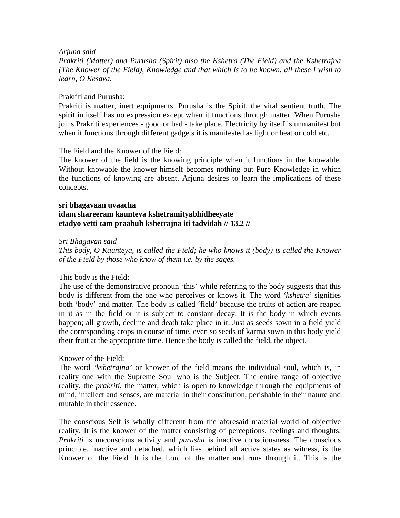#### *Arjuna said*

*Prakriti (Matter) and Purusha (Spirit) also the Kshetra (The Field) and the Kshetrajna (The Knower of the Field), Knowledge and that which is to be known, all these I wish to learn, O Kesava.* 

#### Prakriti and Purusha:

Prakriti is matter, inert equipments. Purusha is the Spirit, the vital sentient truth. The spirit in itself has no expression except when it functions through matter. When Purusha joins Prakriti experiences - good or bad - take place. Electricity by itself is unmanifest but when it functions through different gadgets it is manifested as light or heat or cold etc.

The Field and the Knower of the Field:

The knower of the field is the knowing principle when it functions in the knowable. Without knowable the knower himself becomes nothing but Pure Knowledge in which the functions of knowing are absent. Arjuna desires to learn the implications of these concepts.

#### **sri bhagavaan uvaacha idam shareeram kaunteya kshetramityabhidheeyate etadyo vetti tam praahuh kshetrajna iti tadvidah // 13.2 //**

#### *Sri Bhagavan said*

*This body, O Kaunteya, is called the Field; he who knows it (body) is called the Knower of the Field by those who know of them i.e. by the sages.* 

#### This body is the Field:

The use of the demonstrative pronoun 'this' while referring to the body suggests that this body is different from the one who perceives or knows it. The word *'kshetra'* signifies both 'body' and matter. The body is called 'field' because the fruits of action are reaped in it as in the field or it is subject to constant decay. It is the body in which events happen; all growth, decline and death take place in it. Just as seeds sown in a field yield the corresponding crops in course of time, even so seeds of karma sown in this body yield their fruit at the appropriate time. Hence the body is called the field, the object.

#### Knower of the Field:

The word *'kshetrajna'* or knower of the field means the individual soul, which is, in reality one with the Supreme Soul who is the Subject. The entire range of objective reality, the *prakriti*, the matter, which is open to knowledge through the equipments of mind, intellect and senses, are material in their constitution, perishable in their nature and mutable in their essence.

The conscious Self is wholly different from the aforesaid material world of objective reality. It is the knower of the matter consisting of perceptions, feelings and thoughts. *Prakriti* is unconscious activity and *purusha* is inactive consciousness. The conscious principle, inactive and detached, which lies behind all active states as witness, is the Knower of the Field. It is the Lord of the matter and runs through it. This is the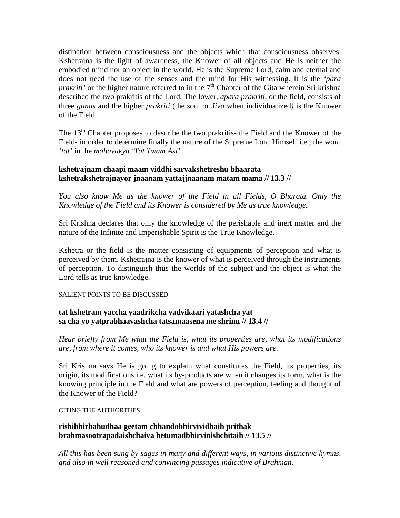distinction between consciousness and the objects which that consciousness observes. Kshetrajna is the light of awareness, the Knower of all objects and He is neither the embodied mind nor an object in the world. He is the Supreme Lord, calm and eternal and does not need the use of the senses and the mind for His witnessing. It is the *'para prakriti'* or the higher nature referred to in the 7<sup>th</sup> Chapter of the Gita wherein Sri krishna described the two prakritis of the Lord. The lower, *apara prakriti,* or the field, consists of three *gunas* and the higher *prakriti* (the soul or *Jiva* when individualized*)* is the Knower of the Field.

The 13<sup>th</sup> Chapter proposes to describe the two prakritis- the Field and the Knower of the Field- in order to determine finally the nature of the Supreme Lord Himself i.e., the word *'tat'* in the *mahavakya 'Tat Twam Asi'*.

## **kshetrajnam chaapi maam viddhi sarvakshetreshu bhaarata kshetrakshetrajnayor jnaanam yattajjnaanam matam mama // 13.3 //**

*You also know Me as the knower of the Field in all Fields, O Bharata. Only the Knowledge of the Field and its Knower is considered by Me as true knowledge.* 

Sri Krishna declares that only the knowledge of the perishable and inert matter and the nature of the Infinite and Imperishable Spirit is the True Knowledge.

Kshetra or the field is the matter consisting of equipments of perception and what is perceived by them. Kshetrajna is the knower of what is perceived through the instruments of perception. To distinguish thus the worlds of the subject and the object is what the Lord tells as true knowledge.

#### SALIENT POINTS TO BE DISCUSSED

## **tat kshetram yaccha yaadrikcha yadvikaari yatashcha yat sa cha yo yatprabhaavashcha tatsamaasena me shrinu // 13.4 //**

*Hear briefly from Me what the Field is, what its properties are, what its modifications are, from where it comes, who its knower is and what His powers are.* 

Sri Krishna says He is going to explain what constitutes the Field, its properties, its origin, its modifications i.e. what its by-products are when it changes its form, what is the knowing principle in the Field and what are powers of perception, feeling and thought of the Knower of the Field?

#### CITING THE AUTHORITIES

## **rishibhirbahudhaa geetam chhandobhirvividhaih prithak brahmasootrapadaishchaiva hetumadbhirvinishchitaih // 13.5 //**

*All this has been sung by sages in many and different ways, in various distinctive hymns, and also in well reasoned and convincing passages indicative of Brahman.*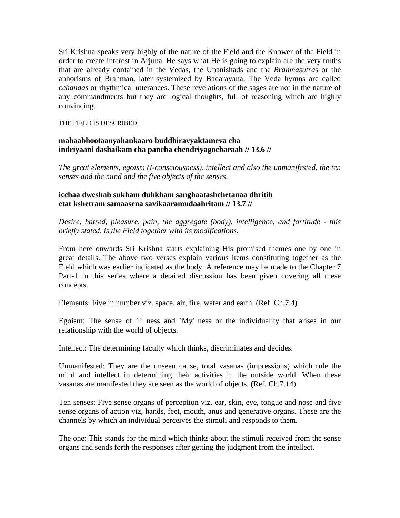Sri Krishna speaks very highly of the nature of the Field and the Knower of the Field in order to create interest in Arjuna. He says what He is going to explain are the very truths that are already contained in the Vedas, the Upanishads and the *Brahmasutra*s or the aphorisms of Brahman, later systemized by Badarayana. The Veda hymns are called *cchandas* or rhythmical utterances. These revelations of the sages are not in the nature of any commandments but they are logical thoughts, full of reasoning which are highly convincing.

#### THE FIELD IS DESCRIBED

#### **mahaabhootaanyahankaaro buddhiravyaktameva cha indriyaani dashaikam cha pancha chendriyagocharaah // 13.6 //**

*The great elements, egoism (I-consciousness), intellect and also the unmanifested, the ten senses and the mind and the five objects of the senses.* 

#### **icchaa dweshah sukham duhkham sanghaatashchetanaa dhritih etat kshetram samaasena savikaaramudaahritam // 13.7 //**

*Desire, hatred, pleasure, pain, the aggregate (body), intelligence, and fortitude - this briefly stated, is the Field together with its modifications.* 

From here onwards Sri Krishna starts explaining His promised themes one by one in great details. The above two verses explain various items constituting together as the Field which was earlier indicated as the body. A reference may be made to the Chapter 7 Part-1 in this series where a detailed discussion has been given covering all these concepts.

Elements: Five in number viz. space, air, fire, water and earth. (Ref. Ch.7.4)

Egoism: The sense of `I' ness and `My' ness or the individuality that arises in our relationship with the world of objects.

Intellect: The determining faculty which thinks, discriminates and decides.

Unmanifested: They are the unseen cause, total vasanas (impressions) which rule the mind and intellect in determining their activities in the outside world. When these vasanas are manifested they are seen as the world of objects. (Ref. Ch.7.14)

Ten senses: Five sense organs of perception viz. ear, skin, eye, tongue and nose and five sense organs of action viz, hands, feet, mouth, anus and generative organs. These are the channels by which an individual perceives the stimuli and responds to them.

The one: This stands for the mind which thinks about the stimuli received from the sense organs and sends forth the responses after getting the judgment from the intellect.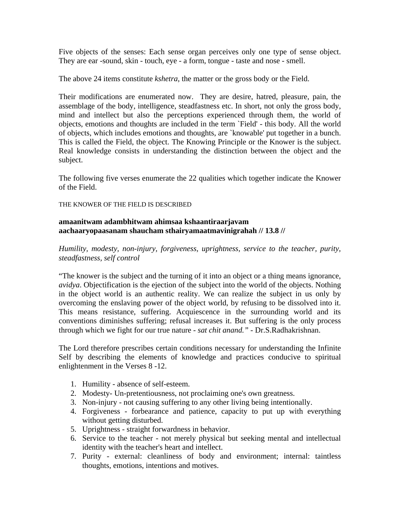Five objects of the senses: Each sense organ perceives only one type of sense object. They are ear -sound, skin - touch, eye - a form, tongue - taste and nose - smell.

The above 24 items constitute *kshetra*, the matter or the gross body or the Field.

Their modifications are enumerated now. They are desire, hatred, pleasure, pain, the assemblage of the body, intelligence, steadfastness etc. In short, not only the gross body, mind and intellect but also the perceptions experienced through them, the world of objects, emotions and thoughts are included in the term `Field' - this body. All the world of objects, which includes emotions and thoughts, are `knowable' put together in a bunch. This is called the Field, the object. The Knowing Principle or the Knower is the subject. Real knowledge consists in understanding the distinction between the object and the subject.

The following five verses enumerate the 22 qualities which together indicate the Knower of the Field.

THE KNOWER OF THE FIELD IS DESCRIBED

## **amaanitwam adambhitwam ahimsaa kshaantiraarjavam aachaaryopaasanam shaucham sthairyamaatmavinigrahah // 13.8 //**

*Humility, modesty, non-injury, forgiveness, uprightness, service to the teacher, purity, steadfastness, self control* 

"The knower is the subject and the turning of it into an object or a thing means ignorance, *avidya*. Objectification is the ejection of the subject into the world of the objects. Nothing in the object world is an authentic reality. We can realize the subject in us only by overcoming the enslaving power of the object world, by refusing to be dissolved into it. This means resistance, suffering. Acquiescence in the surrounding world and its conventions diminishes suffering; refusal increases it. But suffering is the only process through which we fight for our true nature - *sat chit anand." -* Dr.S.Radhakrishnan.

The Lord therefore prescribes certain conditions necessary for understanding the Infinite Self by describing the elements of knowledge and practices conducive to spiritual enlightenment in the Verses 8 -12.

- 1. Humility absence of self-esteem.
- 2. Modesty- Un-pretentiousness, not proclaiming one's own greatness.
- 3. Non-injury not causing suffering to any other living being intentionally.
- 4. Forgiveness forbearance and patience, capacity to put up with everything without getting disturbed.
- 5. Uprightness straight forwardness in behavior.
- 6. Service to the teacher not merely physical but seeking mental and intellectual identity with the teacher's heart and intellect.
- 7. Purity external: cleanliness of body and environment; internal: taintless thoughts, emotions, intentions and motives.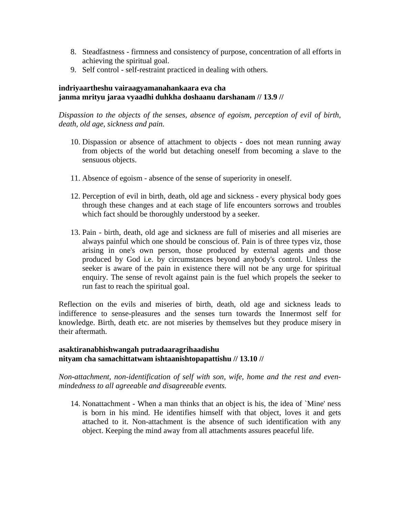- 8. Steadfastness firmness and consistency of purpose, concentration of all efforts in achieving the spiritual goal.
- 9. Self control self-restraint practiced in dealing with others.

## **indriyaartheshu vairaagyamanahankaara eva cha janma mrityu jaraa vyaadhi duhkha doshaanu darshanam // 13.9 //**

*Dispassion to the objects of the senses, absence of egoism, perception of evil of birth, death, old age, sickness and pain.* 

- 10. Dispassion or absence of attachment to objects does not mean running away from objects of the world but detaching oneself from becoming a slave to the sensuous objects.
- 11. Absence of egoism absence of the sense of superiority in oneself.
- 12. Perception of evil in birth, death, old age and sickness every physical body goes through these changes and at each stage of life encounters sorrows and troubles which fact should be thoroughly understood by a seeker.
- 13. Pain birth, death, old age and sickness are full of miseries and all miseries are always painful which one should be conscious of. Pain is of three types viz, those arising in one's own person, those produced by external agents and those produced by God i.e. by circumstances beyond anybody's control. Unless the seeker is aware of the pain in existence there will not be any urge for spiritual enquiry. The sense of revolt against pain is the fuel which propels the seeker to run fast to reach the spiritual goal.

Reflection on the evils and miseries of birth, death, old age and sickness leads to indifference to sense-pleasures and the senses turn towards the Innermost self for knowledge. Birth, death etc. are not miseries by themselves but they produce misery in their aftermath.

## **asaktiranabhishwangah putradaaragrihaadishu nityam cha samachittatwam ishtaanishtopapattishu // 13.10 //**

*Non-attachment, non-identification of self with son, wife, home and the rest and evenmindedness to all agreeable and disagreeable events.* 

14. Nonattachment - When a man thinks that an object is his, the idea of `Mine' ness is born in his mind. He identifies himself with that object, loves it and gets attached to it. Non-attachment is the absence of such identification with any object. Keeping the mind away from all attachments assures peaceful life.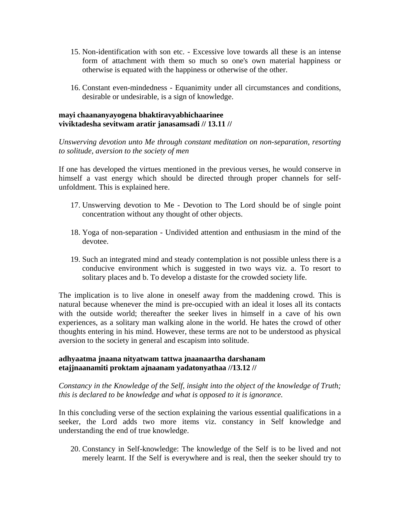- 15. Non-identification with son etc. Excessive love towards all these is an intense form of attachment with them so much so one's own material happiness or otherwise is equated with the happiness or otherwise of the other.
- 16. Constant even-mindedness Equanimity under all circumstances and conditions, desirable or undesirable, is a sign of knowledge.

#### **mayi chaananyayogena bhaktiravyabhichaarinee viviktadesha sevitwam aratir janasamsadi // 13.11 //**

*Unswerving devotion unto Me through constant meditation on non-separation, resorting to solitude, aversion to the society of men* 

If one has developed the virtues mentioned in the previous verses, he would conserve in himself a vast energy which should be directed through proper channels for selfunfoldment. This is explained here.

- 17. Unswerving devotion to Me Devotion to The Lord should be of single point concentration without any thought of other objects.
- 18. Yoga of non-separation Undivided attention and enthusiasm in the mind of the devotee.
- 19. Such an integrated mind and steady contemplation is not possible unless there is a conducive environment which is suggested in two ways viz. a. To resort to solitary places and b. To develop a distaste for the crowded society life.

The implication is to live alone in oneself away from the maddening crowd. This is natural because whenever the mind is pre-occupied with an ideal it loses all its contacts with the outside world; thereafter the seeker lives in himself in a cave of his own experiences, as a solitary man walking alone in the world. He hates the crowd of other thoughts entering in his mind. However, these terms are not to be understood as physical aversion to the society in general and escapism into solitude.

## **adhyaatma jnaana nityatwam tattwa jnaanaartha darshanam etajjnaanamiti proktam ajnaanam yadatonyathaa //13.12 //**

*Constancy in the Knowledge of the Self, insight into the object of the knowledge of Truth; this is declared to be knowledge and what is opposed to it is ignorance.* 

In this concluding verse of the section explaining the various essential qualifications in a seeker, the Lord adds two more items viz. constancy in Self knowledge and understanding the end of true knowledge.

20. Constancy in Self-knowledge: The knowledge of the Self is to be lived and not merely learnt. If the Self is everywhere and is real, then the seeker should try to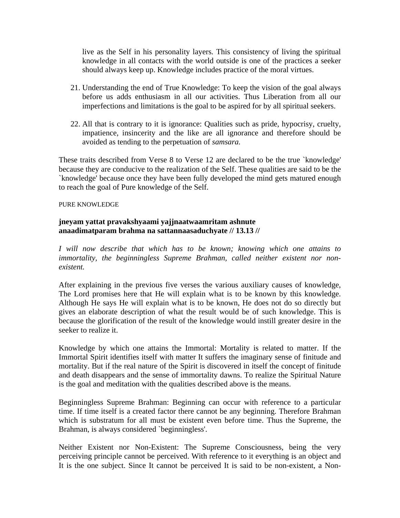live as the Self in his personality layers. This consistency of living the spiritual knowledge in all contacts with the world outside is one of the practices a seeker should always keep up. Knowledge includes practice of the moral virtues.

- 21. Understanding the end of True Knowledge: To keep the vision of the goal always before us adds enthusiasm in all our activities. Thus Liberation from all our imperfections and limitations is the goal to be aspired for by all spiritual seekers.
- 22. All that is contrary to it is ignorance: Qualities such as pride, hypocrisy, cruelty, impatience, insincerity and the like are all ignorance and therefore should be avoided as tending to the perpetuation of *samsara.*

These traits described from Verse 8 to Verse 12 are declared to be the true `knowledge' because they are conducive to the realization of the Self. These qualities are said to be the `knowledge' because once they have been fully developed the mind gets matured enough to reach the goal of Pure knowledge of the Self.

#### PURE KNOWLEDGE

## **jneyam yattat pravakshyaami yajjnaatwaamritam ashnute anaadimatparam brahma na sattannaasaduchyate // 13.13 //**

*I will now describe that which has to be known; knowing which one attains to immortality, the beginningless Supreme Brahman, called neither existent nor nonexistent.* 

After explaining in the previous five verses the various auxiliary causes of knowledge, The Lord promises here that He will explain what is to be known by this knowledge. Although He says He will explain what is to be known, He does not do so directly but gives an elaborate description of what the result would be of such knowledge. This is because the glorification of the result of the knowledge would instill greater desire in the seeker to realize it.

Knowledge by which one attains the Immortal: Mortality is related to matter. If the Immortal Spirit identifies itself with matter It suffers the imaginary sense of finitude and mortality. But if the real nature of the Spirit is discovered in itself the concept of finitude and death disappears and the sense of immortality dawns. To realize the Spiritual Nature is the goal and meditation with the qualities described above is the means.

Beginningless Supreme Brahman: Beginning can occur with reference to a particular time. If time itself is a created factor there cannot be any beginning. Therefore Brahman which is substratum for all must be existent even before time. Thus the Supreme, the Brahman, is always considered `beginningless'.

Neither Existent nor Non-Existent: The Supreme Consciousness, being the very perceiving principle cannot be perceived. With reference to it everything is an object and It is the one subject. Since It cannot be perceived It is said to be non-existent, a Non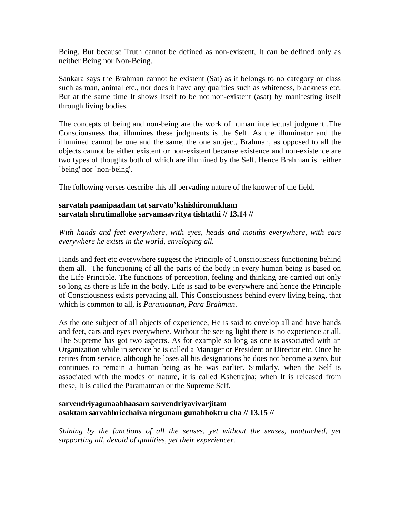Being. But because Truth cannot be defined as non-existent, It can be defined only as neither Being nor Non-Being.

Sankara says the Brahman cannot be existent (Sat) as it belongs to no category or class such as man, animal etc., nor does it have any qualities such as whiteness, blackness etc. But at the same time It shows Itself to be not non-existent (asat) by manifesting itself through living bodies.

The concepts of being and non-being are the work of human intellectual judgment .The Consciousness that illumines these judgments is the Self. As the illuminator and the illumined cannot be one and the same, the one subject, Brahman, as opposed to all the objects cannot be either existent or non-existent because existence and non-existence are two types of thoughts both of which are illumined by the Self. Hence Brahman is neither `being' nor `non-being'.

The following verses describe this all pervading nature of the knower of the field.

#### **sarvatah paanipaadam tat sarvato'kshishiromukham sarvatah shrutimalloke sarvamaavritya tishtathi // 13.14 //**

*With hands and feet everywhere, with eyes, heads and mouths everywhere, with ears everywhere he exists in the world, enveloping all.* 

Hands and feet etc everywhere suggest the Principle of Consciousness functioning behind them all. The functioning of all the parts of the body in every human being is based on the Life Principle. The functions of perception, feeling and thinking are carried out only so long as there is life in the body. Life is said to be everywhere and hence the Principle of Consciousness exists pervading all. This Consciousness behind every living being, that which is common to all, is *Paramatman, Para Brahman*.

As the one subject of all objects of experience, He is said to envelop all and have hands and feet, ears and eyes everywhere. Without the seeing light there is no experience at all. The Supreme has got two aspects. As for example so long as one is associated with an Organization while in service he is called a Manager or President or Director etc. Once he retires from service, although he loses all his designations he does not become a zero, but continues to remain a human being as he was earlier. Similarly, when the Self is associated with the modes of nature, it is called Kshetrajna; when It is released from these, It is called the Paramatman or the Supreme Self.

## **sarvendriyagunaabhaasam sarvendriyavivarjitam asaktam sarvabhricchaiva nirgunam gunabhoktru cha // 13.15 //**

*Shining by the functions of all the senses, yet without the senses, unattached, yet supporting all, devoid of qualities, yet their experiencer.*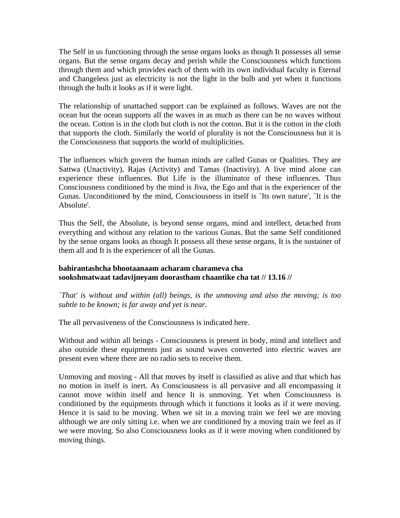The Self in us functioning through the sense organs looks as though It possesses all sense organs. But the sense organs decay and perish while the Consciousness which functions through them and which provides each of them with its own individual faculty is Eternal and Changeless just as electricity is not the light in the bulb and yet when it functions through the bulb it looks as if it were light.

The relationship of unattached support can be explained as follows. Waves are not the ocean but the ocean supports all the waves in as much as there can be no waves without the ocean. Cotton is in the cloth but cloth is not the cotton. But it is the cotton in the cloth that supports the cloth. Similarly the world of plurality is not the Consciousness but it is the Consciousness that supports the world of multiplicities.

The influences which govern the human minds are called Gunas or Qualities. They are Sattwa (Unactivity), Rajas (Activity) and Tamas (Inactivity). A live mind alone can experience these influences. But Life is the illuminator of these influences. Thus Consciousness conditioned by the mind is Jiva, the Ego and that is the experiencer of the Gunas. Unconditioned by the mind, Consciousness in itself is `Its own nature', `It is the Absolute'.

Thus the Self, the Absolute, is beyond sense organs, mind and intellect, detached from everything and without any relation to the various Gunas. But the same Self conditioned by the sense organs looks as though It possess all these sense organs, It is the sustainer of them all and It is the experiencer of all the Gunas.

## **bahirantashcha bhootaanaam acharam charameva cha sookshmatwaat tadavijneyam doorastham chaantike cha tat // 13.16 //**

*`That' is without and within (all) beings, is the unmoving and also the moving; is too subtle to be known; is far away and yet is near.* 

The all pervasiveness of the Consciousness is indicated here.

Without and within all beings - Consciousness is present in body, mind and intellect and also outside these equipments just as sound waves converted into electric waves are present even where there are no radio sets to receive them.

Unmoving and moving - All that moves by itself is classified as alive and that which has no motion in itself is inert. As Consciousness is all pervasive and all encompassing it cannot move within itself and hence It is unmoving. Yet when Consciousness is conditioned by the equipments through which it functions it looks as if it were moving. Hence it is said to be moving. When we sit in a moving train we feel we are moving although we are only sitting i.e. when we are conditioned by a moving train we feel as if we were moving. So also Consciousness looks as if it were moving when conditioned by moving things.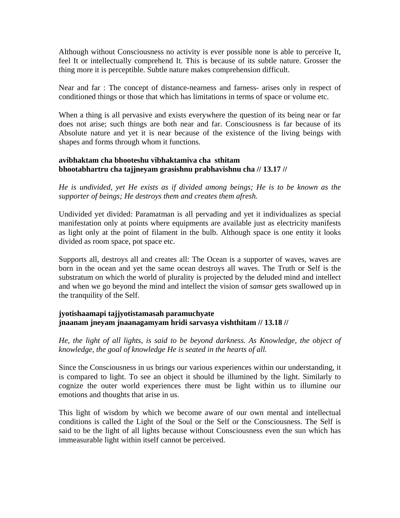Although without Consciousness no activity is ever possible none is able to perceive It, feel It or intellectually comprehend It. This is because of its subtle nature. Grosser the thing more it is perceptible. Subtle nature makes comprehension difficult.

Near and far : The concept of distance-nearness and farness- arises only in respect of conditioned things or those that which has limitations in terms of space or volume etc.

When a thing is all pervasive and exists everywhere the question of its being near or far does not arise; such things are both near and far. Consciousness is far because of its Absolute nature and yet it is near because of the existence of the living beings with shapes and forms through whom it functions.

#### **avibhaktam cha bhooteshu vibhaktamiva cha sthitam bhootabhartru cha tajjneyam grasishnu prabhavishnu cha // 13.17 //**

*He is undivided, yet He exists as if divided among beings; He is to be known as the supporter of beings; He destroys them and creates them afresh.* 

Undivided yet divided: Paramatman is all pervading and yet it individualizes as special manifestation only at points where equipments are available just as electricity manifests as light only at the point of filament in the bulb. Although space is one entity it looks divided as room space, pot space etc.

Supports all, destroys all and creates all: The Ocean is a supporter of waves, waves are born in the ocean and yet the same ocean destroys all waves. The Truth or Self is the substratum on which the world of plurality is projected by the deluded mind and intellect and when we go beyond the mind and intellect the vision of *samsar* gets swallowed up in the tranquility of the Self.

## **jyotishaamapi tajjyotistamasah paramuchyate jnaanam jneyam jnaanagamyam hridi sarvasya vishthitam // 13.18 //**

*He, the light of all lights, is said to be beyond darkness. As Knowledge, the object of knowledge, the goal of knowledge He is seated in the hearts of all.* 

Since the Consciousness in us brings our various experiences within our understanding, it is compared to light. To see an object it should be illumined by the light. Similarly to cognize the outer world experiences there must be light within us to illumine our emotions and thoughts that arise in us.

This light of wisdom by which we become aware of our own mental and intellectual conditions is called the Light of the Soul or the Self or the Consciousness. The Self is said to be the light of all lights because without Consciousness even the sun which has immeasurable light within itself cannot be perceived.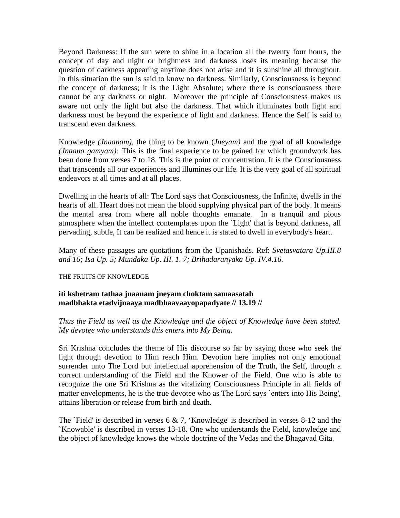Beyond Darkness: If the sun were to shine in a location all the twenty four hours, the concept of day and night or brightness and darkness loses its meaning because the question of darkness appearing anytime does not arise and it is sunshine all throughout. In this situation the sun is said to know no darkness. Similarly, Consciousness is beyond the concept of darkness; it is the Light Absolute; where there is consciousness there cannot be any darkness or night. Moreover the principle of Consciousness makes us aware not only the light but also the darkness. That which illuminates both light and darkness must be beyond the experience of light and darkness. Hence the Self is said to transcend even darkness.

Knowledge *(Jnaanam),* the thing to be known (*Jneyam)* and the goal of all knowledge *(Jnaana gamyam):* This is the final experience to be gained for which groundwork has been done from verses 7 to 18. This is the point of concentration. It is the Consciousness that transcends all our experiences and illumines our life. It is the very goal of all spiritual endeavors at all times and at all places.

Dwelling in the hearts of all: The Lord says that Consciousness, the Infinite, dwells in the hearts of all. Heart does not mean the blood supplying physical part of the body. It means the mental area from where all noble thoughts emanate. In a tranquil and pious atmosphere when the intellect contemplates upon the `Light' that is beyond darkness, all pervading, subtle, It can be realized and hence it is stated to dwell in everybody's heart.

Many of these passages are quotations from the Upanishads. Ref: *Svetasvatara Up.III.8 and 16; Isa Up. 5; Mundaka Up. III. 1. 7; Brihadaranyaka Up. IV.4.16.* 

#### THE FRUITS OF KNOWLEDGE

#### **iti kshetram tathaa jnaanam jneyam choktam samaasatah madbhakta etadvijnaaya madbhaavaayopapadyate // 13.19 //**

*Thus the Field as well as the Knowledge and the object of Knowledge have been stated. My devotee who understands this enters into My Being.* 

Sri Krishna concludes the theme of His discourse so far by saying those who seek the light through devotion to Him reach Him. Devotion here implies not only emotional surrender unto The Lord but intellectual apprehension of the Truth, the Self, through a correct understanding of the Field and the Knower of the Field. One who is able to recognize the one Sri Krishna as the vitalizing Consciousness Principle in all fields of matter envelopments, he is the true devotee who as The Lord says `enters into His Being', attains liberation or release from birth and death.

The `Field' is described in verses  $6 \& 7$ , 'Knowledge' is described in verses 8-12 and the `Knowable' is described in verses 13-18. One who understands the Field, knowledge and the object of knowledge knows the whole doctrine of the Vedas and the Bhagavad Gita.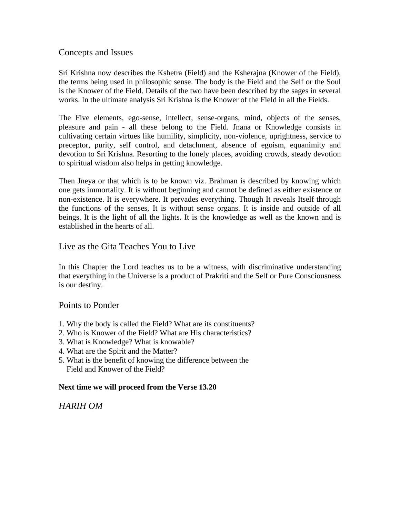## Concepts and Issues

Sri Krishna now describes the Kshetra (Field) and the Ksherajna (Knower of the Field), the terms being used in philosophic sense. The body is the Field and the Self or the Soul is the Knower of the Field. Details of the two have been described by the sages in several works. In the ultimate analysis Sri Krishna is the Knower of the Field in all the Fields.

The Five elements, ego-sense, intellect, sense-organs, mind, objects of the senses, pleasure and pain - all these belong to the Field. Jnana or Knowledge consists in cultivating certain virtues like humility, simplicity, non-violence, uprightness, service to preceptor, purity, self control, and detachment, absence of egoism, equanimity and devotion to Sri Krishna. Resorting to the lonely places, avoiding crowds, steady devotion to spiritual wisdom also helps in getting knowledge.

Then Jneya or that which is to be known viz. Brahman is described by knowing which one gets immortality. It is without beginning and cannot be defined as either existence or non-existence. It is everywhere. It pervades everything. Though It reveals Itself through the functions of the senses, It is without sense organs. It is inside and outside of all beings. It is the light of all the lights. It is the knowledge as well as the known and is established in the hearts of all.

## Live as the Gita Teaches You to Live

In this Chapter the Lord teaches us to be a witness, with discriminative understanding that everything in the Universe is a product of Prakriti and the Self or Pure Consciousness is our destiny.

## Points to Ponder

- 1. Why the body is called the Field? What are its constituents?
- 2. Who is Knower of the Field? What are His characteristics?
- 3. What is Knowledge? What is knowable?
- 4. What are the Spirit and the Matter?
- 5. What is the benefit of knowing the difference between the Field and Knower of the Field?

## **Next time we will proceed from the Verse 13.20**

## *HARIH OM*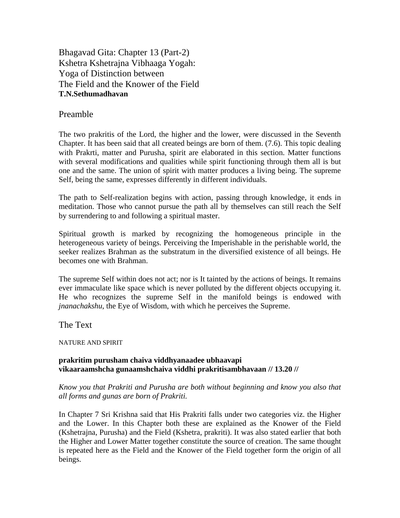Bhagavad Gita: Chapter 13 (Part-2) Kshetra Kshetrajna Vibhaaga Yogah: Yoga of Distinction between The Field and the Knower of the Field **T.N.Sethumadhavan** 

## Preamble

The two prakritis of the Lord, the higher and the lower, were discussed in the Seventh Chapter. It has been said that all created beings are born of them. (7.6). This topic dealing with Prakrti, matter and Purusha, spirit are elaborated in this section. Matter functions with several modifications and qualities while spirit functioning through them all is but one and the same. The union of spirit with matter produces a living being. The supreme Self, being the same, expresses differently in different individuals.

The path to Self-realization begins with action, passing through knowledge, it ends in meditation. Those who cannot pursue the path all by themselves can still reach the Self by surrendering to and following a spiritual master.

Spiritual growth is marked by recognizing the homogeneous principle in the heterogeneous variety of beings. Perceiving the Imperishable in the perishable world, the seeker realizes Brahman as the substratum in the diversified existence of all beings. He becomes one with Brahman.

The supreme Self within does not act; nor is It tainted by the actions of beings. It remains ever immaculate like space which is never polluted by the different objects occupying it. He who recognizes the supreme Self in the manifold beings is endowed with *jnanachakshu*, the Eye of Wisdom, with which he perceives the Supreme.

The Text

#### NATURE AND SPIRIT

#### **prakritim purusham chaiva viddhyanaadee ubhaavapi vikaaraamshcha gunaamshchaiva viddhi prakritisambhavaan // 13.20 //**

*Know you that Prakriti and Purusha are both without beginning and know you also that all forms and gunas are born of Prakriti.* 

In Chapter 7 Sri Krishna said that His Prakriti falls under two categories viz. the Higher and the Lower. In this Chapter both these are explained as the Knower of the Field (Kshetrajna, Purusha) and the Field (Kshetra, prakriti). It was also stated earlier that both the Higher and Lower Matter together constitute the source of creation. The same thought is repeated here as the Field and the Knower of the Field together form the origin of all beings.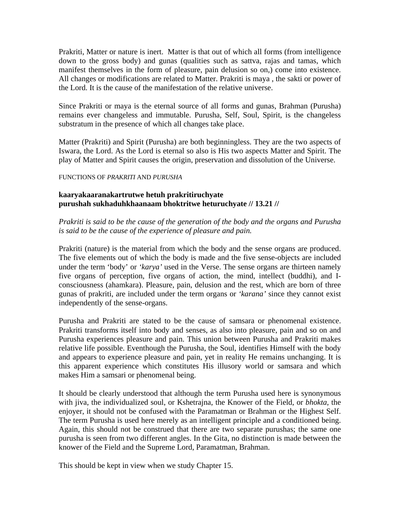Prakriti, Matter or nature is inert. Matter is that out of which all forms (from intelligence down to the gross body) and gunas (qualities such as sattva, rajas and tamas, which manifest themselves in the form of pleasure, pain delusion so on,) come into existence. All changes or modifications are related to Matter. Prakriti is maya , the sakti or power of the Lord. It is the cause of the manifestation of the relative universe.

Since Prakriti or maya is the eternal source of all forms and gunas, Brahman (Purusha) remains ever changeless and immutable. Purusha, Self, Soul, Spirit, is the changeless substratum in the presence of which all changes take place.

Matter (Prakriti) and Spirit (Purusha) are both beginningless. They are the two aspects of Iswara, the Lord. As the Lord is eternal so also is His two aspects Matter and Spirit. The play of Matter and Spirit causes the origin, preservation and dissolution of the Universe.

#### FUNCTIONS OF *PRAKRITI* AND *PURUSHA*

## **kaaryakaaranakartrutwe hetuh prakritiruchyate purushah sukhaduhkhaanaam bhoktritwe heturuchyate // 13.21 //**

## *Prakriti is said to be the cause of the generation of the body and the organs and Purusha is said to be the cause of the experience of pleasure and pain.*

Prakriti (nature) is the material from which the body and the sense organs are produced. The five elements out of which the body is made and the five sense-objects are included under the term 'body' or *'karya'* used in the Verse. The sense organs are thirteen namely five organs of perception, five organs of action, the mind, intellect (buddhi), and Iconsciousness (ahamkara). Pleasure, pain, delusion and the rest, which are born of three gunas of prakriti, are included under the term organs or *'karana'* since they cannot exist independently of the sense-organs.

Purusha and Prakriti are stated to be the cause of samsara or phenomenal existence. Prakriti transforms itself into body and senses, as also into pleasure, pain and so on and Purusha experiences pleasure and pain. This union between Purusha and Prakriti makes relative life possible. Eventhough the Purusha, the Soul, identifies Himself with the body and appears to experience pleasure and pain, yet in reality He remains unchanging. It is this apparent experience which constitutes His illusory world or samsara and which makes Him a samsari or phenomenal being.

It should be clearly understood that although the term Purusha used here is synonymous with jiva, the individualized soul, or Kshetrajna, the Knower of the Field, or *bhokta*, the enjoyer, it should not be confused with the Paramatman or Brahman or the Highest Self. The term Purusha is used here merely as an intelligent principle and a conditioned being. Again, this should not be construed that there are two separate purushas; the same one purusha is seen from two different angles. In the Gita, no distinction is made between the knower of the Field and the Supreme Lord, Paramatman, Brahman.

This should be kept in view when we study Chapter 15.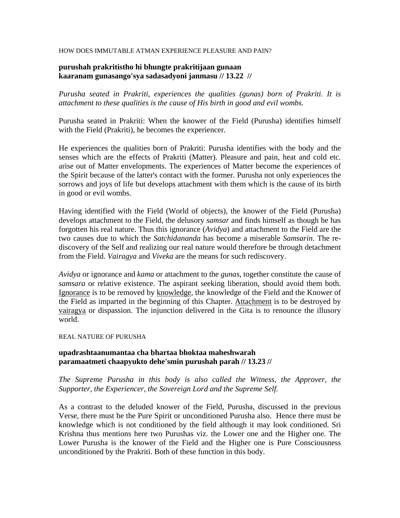#### HOW DOES IMMUTABLE ATMAN EXPERIENCE PLEASURE AND PAIN?

#### **purushah prakritistho hi bhungte prakritijaan gunaan kaaranam gunasango'sya sadasadyoni janmasu // 13.22 //**

*Purusha seated in Prakriti, experiences the qualities (gunas) born of Prakriti. It is attachment to these qualities is the cause of His birth in good and evil wombs.* 

Purusha seated in Prakriti: When the knower of the Field (Purusha) identifies himself with the Field (Prakriti), he becomes the experiencer.

He experiences the qualities born of Prakriti: Purusha identifies with the body and the senses which are the effects of Prakriti (Matter). Pleasure and pain, heat and cold etc. arise out of Matter envelopments. The experiences of Matter become the experiences of the Spirit because of the latter's contact with the former. Purusha not only experiences the sorrows and joys of life but develops attachment with them which is the cause of its birth in good or evil wombs.

Having identified with the Field (World of objects), the knower of the Field (Purusha) develops attachment to the Field, the delusory *samsar* and finds himself as though he has forgotten his real nature. Thus this ignorance (*Avidya*) and attachment to the Field are the two causes due to which the *Satchidananda* has become a miserable *Samsarin*. The rediscovery of the Self and realizing our real nature would therefore be through detachment from the Field. *Vairagya* and *Viveka* are the means for such rediscovery.

*Avidya* or ignorance and *kama* or attachment to the *gunas*, together constitute the cause of *samsara* or relative existence. The aspirant seeking liberation, should avoid them both. Ignorance is to be removed by knowledge, the knowledge of the Field and the Knower of the Field as imparted in the beginning of this Chapter. Attachment is to be destroyed by vairagya or dispassion. The injunction delivered in the Gita is to renounce the illusory world.

#### REAL NATURE OF PURUSHA

## **upadrashtaanumantaa cha bhartaa bhoktaa maheshwarah paramaatmeti chaapyukto dehe'smin purushah parah // 13.23 //**

*The Supreme Purusha in this body is also called the Witness, the Approver, the Supporter, the Experiencer, the Sovereign Lord and the Supreme Self.* 

As a contrast to the deluded knower of the Field, Purusha, discussed in the previous Verse, there must be the Pure Spirit or unconditioned Purusha also. Hence there must be knowledge which is not conditioned by the field although it may look conditioned. Sri Krishna thus mentions here two Purushas viz. the Lower one and the Higher one. The Lower Purusha is the knower of the Field and the Higher one is Pure Consciousness unconditioned by the Prakriti. Both of these function in this body.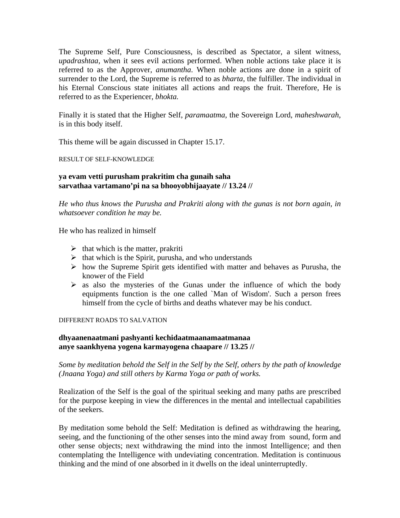The Supreme Self, Pure Consciousness, is described as Spectator, a silent witness, *upadrashtaa,* when it sees evil actions performed. When noble actions take place it is referred to as the Approver, *anumantha*. When noble actions are done in a spirit of surrender to the Lord, the Supreme is referred to as *bharta*, the fulfiller. The individual in his Eternal Conscious state initiates all actions and reaps the fruit. Therefore, He is referred to as the Experiencer, *bhokta.*

Finally it is stated that the Higher Self, *paramaatma,* the Sovereign Lord*, maheshwarah,*  is in this body itself.

This theme will be again discussed in Chapter 15.17.

RESULT OF SELF-KNOWLEDGE

## **ya evam vetti purusham prakritim cha gunaih saha sarvathaa vartamano'pi na sa bhooyobhijaayate // 13.24 //**

*He who thus knows the Purusha and Prakriti along with the gunas is not born again, in whatsoever condition he may be.* 

He who has realized in himself

- $\triangleright$  that which is the matter, prakriti
- $\triangleright$  that which is the Spirit, purusha, and who understands
- $\triangleright$  how the Supreme Spirit gets identified with matter and behaves as Purusha, the knower of the Field
- $\triangleright$  as also the mysteries of the Gunas under the influence of which the body equipments function is the one called `Man of Wisdom'. Such a person frees himself from the cycle of births and deaths whatever may be his conduct.

#### DIFFERENT ROADS TO SALVATION

#### **dhyaanenaatmani pashyanti kechidaatmaanamaatmanaa anye saankhyena yogena karmayogena chaapare // 13.25 //**

*Some by meditation behold the Self in the Self by the Self, others by the path of knowledge (Jnaana Yoga) and still others by Karma Yoga or path of works.* 

Realization of the Self is the goal of the spiritual seeking and many paths are prescribed for the purpose keeping in view the differences in the mental and intellectual capabilities of the seekers.

By meditation some behold the Self: Meditation is defined as withdrawing the hearing, seeing, and the functioning of the other senses into the mind away from sound, form and other sense objects; next withdrawing the mind into the inmost Intelligence; and then contemplating the Intelligence with undeviating concentration. Meditation is continuous thinking and the mind of one absorbed in it dwells on the ideal uninterruptedly.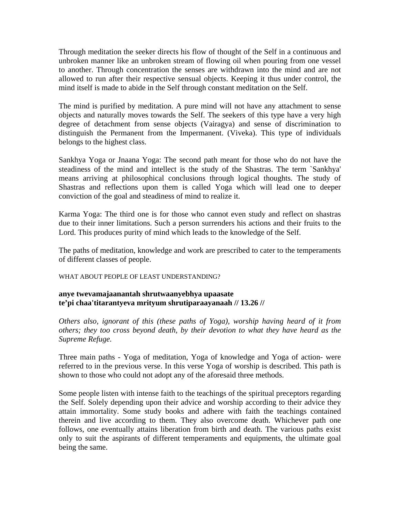Through meditation the seeker directs his flow of thought of the Self in a continuous and unbroken manner like an unbroken stream of flowing oil when pouring from one vessel to another. Through concentration the senses are withdrawn into the mind and are not allowed to run after their respective sensual objects. Keeping it thus under control, the mind itself is made to abide in the Self through constant meditation on the Self.

The mind is purified by meditation. A pure mind will not have any attachment to sense objects and naturally moves towards the Self. The seekers of this type have a very high degree of detachment from sense objects (Vairagya) and sense of discrimination to distinguish the Permanent from the Impermanent. (Viveka). This type of individuals belongs to the highest class.

Sankhya Yoga or Jnaana Yoga: The second path meant for those who do not have the steadiness of the mind and intellect is the study of the Shastras. The term `Sankhya' means arriving at philosophical conclusions through logical thoughts. The study of Shastras and reflections upon them is called Yoga which will lead one to deeper conviction of the goal and steadiness of mind to realize it.

Karma Yoga: The third one is for those who cannot even study and reflect on shastras due to their inner limitations. Such a person surrenders his actions and their fruits to the Lord. This produces purity of mind which leads to the knowledge of the Self.

The paths of meditation, knowledge and work are prescribed to cater to the temperaments of different classes of people.

#### WHAT ABOUT PEOPLE OF LEAST UNDERSTANDING?

#### **anye twevamajaanantah shrutwaanyebhya upaasate te'pi chaa'titarantyeva mrityum shrutiparaayanaah // 13.26 //**

*Others also, ignorant of this (these paths of Yoga), worship having heard of it from others; they too cross beyond death, by their devotion to what they have heard as the Supreme Refuge.* 

Three main paths - Yoga of meditation, Yoga of knowledge and Yoga of action- were referred to in the previous verse. In this verse Yoga of worship is described. This path is shown to those who could not adopt any of the aforesaid three methods.

Some people listen with intense faith to the teachings of the spiritual preceptors regarding the Self. Solely depending upon their advice and worship according to their advice they attain immortality. Some study books and adhere with faith the teachings contained therein and live according to them. They also overcome death. Whichever path one follows, one eventually attains liberation from birth and death. The various paths exist only to suit the aspirants of different temperaments and equipments, the ultimate goal being the same.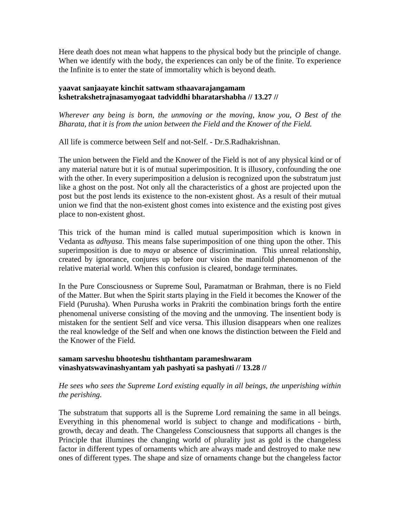Here death does not mean what happens to the physical body but the principle of change. When we identify with the body, the experiences can only be of the finite. To experience the Infinite is to enter the state of immortality which is beyond death.

## **yaavat sanjaayate kinchit sattwam sthaavarajangamam kshetrakshetrajnasamyogaat tadviddhi bharatarshabha // 13.27 //**

*Wherever any being is born, the unmoving or the moving, know you, O Best of the Bharata, that it is from the union between the Field and the Knower of the Field.* 

All life is commerce between Self and not-Self. - Dr.S.Radhakrishnan.

The union between the Field and the Knower of the Field is not of any physical kind or of any material nature but it is of mutual superimposition. It is illusory, confounding the one with the other. In every superimposition a delusion is recognized upon the substratum just like a ghost on the post. Not only all the characteristics of a ghost are projected upon the post but the post lends its existence to the non-existent ghost. As a result of their mutual union we find that the non-existent ghost comes into existence and the existing post gives place to non-existent ghost.

This trick of the human mind is called mutual superimposition which is known in Vedanta as *adhyasa*. This means false superimposition of one thing upon the other. This superimposition is due to *maya* or absence of discrimination. This unreal relationship, created by ignorance, conjures up before our vision the manifold phenomenon of the relative material world. When this confusion is cleared, bondage terminates.

In the Pure Consciousness or Supreme Soul, Paramatman or Brahman, there is no Field of the Matter. But when the Spirit starts playing in the Field it becomes the Knower of the Field (Purusha). When Purusha works in Prakriti the combination brings forth the entire phenomenal universe consisting of the moving and the unmoving. The insentient body is mistaken for the sentient Self and vice versa. This illusion disappears when one realizes the real knowledge of the Self and when one knows the distinction between the Field and the Knower of the Field.

## **samam sarveshu bhooteshu tishthantam parameshwaram vinashyatswavinashyantam yah pashyati sa pashyati // 13.28 //**

## *He sees who sees the Supreme Lord existing equally in all beings, the unperishing within the perishing.*

The substratum that supports all is the Supreme Lord remaining the same in all beings. Everything in this phenomenal world is subject to change and modifications - birth, growth, decay and death. The Changeless Consciousness that supports all changes is the Principle that illumines the changing world of plurality just as gold is the changeless factor in different types of ornaments which are always made and destroyed to make new ones of different types. The shape and size of ornaments change but the changeless factor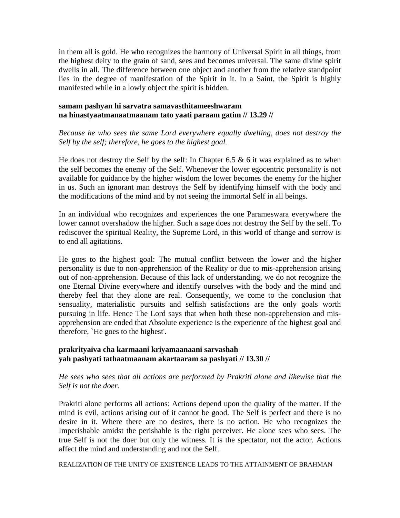in them all is gold. He who recognizes the harmony of Universal Spirit in all things, from the highest deity to the grain of sand, sees and becomes universal. The same divine spirit dwells in all. The difference between one object and another from the relative standpoint lies in the degree of manifestation of the Spirit in it. In a Saint, the Spirit is highly manifested while in a lowly object the spirit is hidden.

## **samam pashyan hi sarvatra samavasthitameeshwaram na hinastyaatmanaatmaanam tato yaati paraam gatim // 13.29 //**

*Because he who sees the same Lord everywhere equally dwelling, does not destroy the Self by the self; therefore, he goes to the highest goal.* 

He does not destroy the Self by the self: In Chapter 6.5  $\&$  6 it was explained as to when the self becomes the enemy of the Self. Whenever the lower egocentric personality is not available for guidance by the higher wisdom the lower becomes the enemy for the higher in us. Such an ignorant man destroys the Self by identifying himself with the body and the modifications of the mind and by not seeing the immortal Self in all beings.

In an individual who recognizes and experiences the one Parameswara everywhere the lower cannot overshadow the higher. Such a sage does not destroy the Self by the self. To rediscover the spiritual Reality, the Supreme Lord, in this world of change and sorrow is to end all agitations.

He goes to the highest goal: The mutual conflict between the lower and the higher personality is due to non-apprehension of the Reality or due to mis-apprehension arising out of non-apprehension. Because of this lack of understanding, we do not recognize the one Eternal Divine everywhere and identify ourselves with the body and the mind and thereby feel that they alone are real. Consequently, we come to the conclusion that sensuality, materialistic pursuits and selfish satisfactions are the only goals worth pursuing in life. Hence The Lord says that when both these non-apprehension and misapprehension are ended that Absolute experience is the experience of the highest goal and therefore, `He goes to the highest'.

#### **prakrityaiva cha karmaani kriyamaanaani sarvashah yah pashyati tathaatmaanam akartaaram sa pashyati // 13.30 //**

#### *He sees who sees that all actions are performed by Prakriti alone and likewise that the Self is not the doer.*

Prakriti alone performs all actions: Actions depend upon the quality of the matter. If the mind is evil, actions arising out of it cannot be good. The Self is perfect and there is no desire in it. Where there are no desires, there is no action. He who recognizes the Imperishable amidst the perishable is the right perceiver. He alone sees who sees. The true Self is not the doer but only the witness. It is the spectator, not the actor. Actions affect the mind and understanding and not the Self.

REALIZATION OF THE UNITY OF EXISTENCE LEADS TO THE ATTAINMENT OF BRAHMAN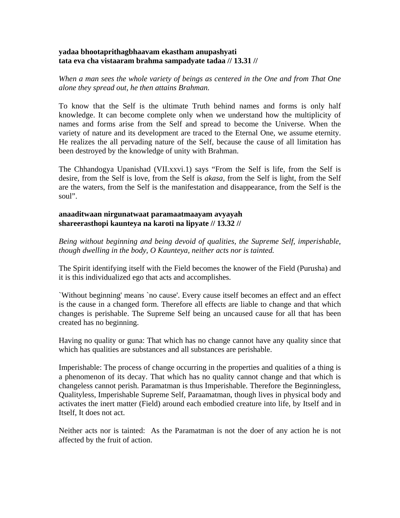#### **yadaa bhootaprithagbhaavam ekastham anupashyati tata eva cha vistaaram brahma sampadyate tadaa // 13.31 //**

*When a man sees the whole variety of beings as centered in the One and from That One alone they spread out, he then attains Brahman.* 

To know that the Self is the ultimate Truth behind names and forms is only half knowledge. It can become complete only when we understand how the multiplicity of names and forms arise from the Self and spread to become the Universe. When the variety of nature and its development are traced to the Eternal One, we assume eternity. He realizes the all pervading nature of the Self, because the cause of all limitation has been destroyed by the knowledge of unity with Brahman.

The Chhandogya Upanishad (VII.xxvi.1) says "From the Self is life, from the Self is desire, from the Self is love, from the Self is *akasa,* from the Self is light, from the Self are the waters, from the Self is the manifestation and disappearance, from the Self is the soul".

#### **anaaditwaan nirgunatwaat paramaatmaayam avyayah shareerasthopi kaunteya na karoti na lipyate // 13.32 //**

*Being without beginning and being devoid of qualities, the Supreme Self, imperishable, though dwelling in the body, O Kaunteya, neither acts nor is tainted.* 

The Spirit identifying itself with the Field becomes the knower of the Field (Purusha) and it is this individualized ego that acts and accomplishes.

`Without beginning' means `no cause'. Every cause itself becomes an effect and an effect is the cause in a changed form. Therefore all effects are liable to change and that which changes is perishable. The Supreme Self being an uncaused cause for all that has been created has no beginning.

Having no quality or guna: That which has no change cannot have any quality since that which has qualities are substances and all substances are perishable.

Imperishable: The process of change occurring in the properties and qualities of a thing is a phenomenon of its decay. That which has no quality cannot change and that which is changeless cannot perish. Paramatman is thus Imperishable. Therefore the Beginningless, Qualityless, Imperishable Supreme Self, Paraamatman, though lives in physical body and activates the inert matter (Field) around each embodied creature into life, by Itself and in Itself, It does not act.

Neither acts nor is tainted: As the Paramatman is not the doer of any action he is not affected by the fruit of action.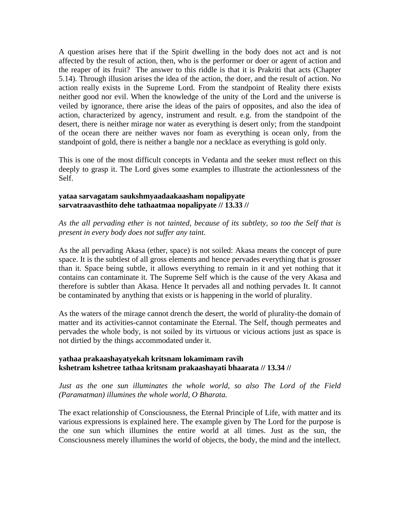A question arises here that if the Spirit dwelling in the body does not act and is not affected by the result of action, then, who is the performer or doer or agent of action and the reaper of its fruit? The answer to this riddle is that it is Prakriti that acts (Chapter 5.14). Through illusion arises the idea of the action, the doer, and the result of action. No action really exists in the Supreme Lord. From the standpoint of Reality there exists neither good nor evil. When the knowledge of the unity of the Lord and the universe is veiled by ignorance, there arise the ideas of the pairs of opposites, and also the idea of action, characterized by agency, instrument and result. e.g. from the standpoint of the desert, there is neither mirage nor water as everything is desert only; from the standpoint of the ocean there are neither waves nor foam as everything is ocean only, from the standpoint of gold, there is neither a bangle nor a necklace as everything is gold only.

This is one of the most difficult concepts in Vedanta and the seeker must reflect on this deeply to grasp it. The Lord gives some examples to illustrate the actionlessness of the Self.

#### **yataa sarvagatam saukshmyaadaakaasham nopalipyate sarvatraavasthito dehe tathaatmaa nopalipyate // 13.33 //**

*As the all pervading ether is not tainted, because of its subtlety, so too the Self that is present in every body does not suffer any taint.* 

As the all pervading Akasa (ether, space) is not soiled: Akasa means the concept of pure space. It is the subtlest of all gross elements and hence pervades everything that is grosser than it. Space being subtle, it allows everything to remain in it and yet nothing that it contains can contaminate it. The Supreme Self which is the cause of the very Akasa and therefore is subtler than Akasa. Hence It pervades all and nothing pervades It. It cannot be contaminated by anything that exists or is happening in the world of plurality.

As the waters of the mirage cannot drench the desert, the world of plurality-the domain of matter and its activities-cannot contaminate the Eternal. The Self, though permeates and pervades the whole body, is not soiled by its virtuous or vicious actions just as space is not dirtied by the things accommodated under it.

## **yathaa prakaashayatyekah kritsnam lokamimam ravih kshetram kshetree tathaa kritsnam prakaashayati bhaarata // 13.34 //**

#### *Just as the one sun illuminates the whole world, so also The Lord of the Field (Paramatman) illumines the whole world, O Bharata.*

The exact relationship of Consciousness, the Eternal Principle of Life, with matter and its various expressions is explained here. The example given by The Lord for the purpose is the one sun which illumines the entire world at all times. Just as the sun, the Consciousness merely illumines the world of objects, the body, the mind and the intellect.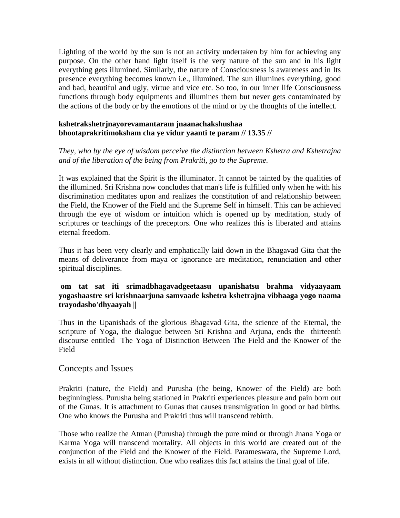Lighting of the world by the sun is not an activity undertaken by him for achieving any purpose. On the other hand light itself is the very nature of the sun and in his light everything gets illumined. Similarly, the nature of Consciousness is awareness and in Its presence everything becomes known i.e., illumined. The sun illumines everything, good and bad, beautiful and ugly, virtue and vice etc. So too, in our inner life Consciousness functions through body equipments and illumines them but never gets contaminated by the actions of the body or by the emotions of the mind or by the thoughts of the intellect.

#### **kshetrakshetrjnayorevamantaram jnaanachakshushaa bhootaprakritimoksham cha ye vidur yaanti te param // 13.35 //**

## *They, who by the eye of wisdom perceive the distinction between Kshetra and Kshetrajna and of the liberation of the being from Prakriti, go to the Supreme.*

It was explained that the Spirit is the illuminator. It cannot be tainted by the qualities of the illumined. Sri Krishna now concludes that man's life is fulfilled only when he with his discrimination meditates upon and realizes the constitution of and relationship between the Field, the Knower of the Field and the Supreme Self in himself. This can be achieved through the eye of wisdom or intuition which is opened up by meditation, study of scriptures or teachings of the preceptors. One who realizes this is liberated and attains eternal freedom.

Thus it has been very clearly and emphatically laid down in the Bhagavad Gita that the means of deliverance from maya or ignorance are meditation, renunciation and other spiritual disciplines.

## **om tat sat iti srimadbhagavadgeetaasu upanishatsu brahma vidyaayaam yogashaastre sri krishnaarjuna samvaade kshetra kshetrajna vibhaaga yogo naama trayodasho'dhyaayah ||**

Thus in the Upanishads of the glorious Bhagavad Gita, the science of the Eternal, the scripture of Yoga, the dialogue between Sri Krishna and Arjuna, ends the thirteenth discourse entitled The Yoga of Distinction Between The Field and the Knower of the Field

## Concepts and Issues

Prakriti (nature, the Field) and Purusha (the being, Knower of the Field) are both beginningless. Purusha being stationed in Prakriti experiences pleasure and pain born out of the Gunas. It is attachment to Gunas that causes transmigration in good or bad births. One who knows the Purusha and Prakriti thus will transcend rebirth.

Those who realize the Atman (Purusha) through the pure mind or through Jnana Yoga or Karma Yoga will transcend mortality. All objects in this world are created out of the conjunction of the Field and the Knower of the Field. Parameswara, the Supreme Lord, exists in all without distinction. One who realizes this fact attains the final goal of life.